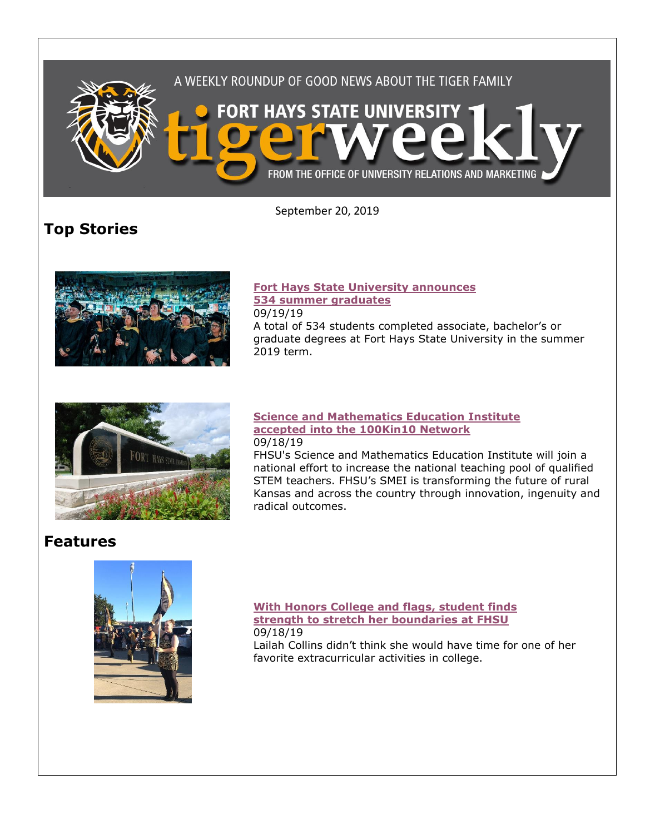

September 20, 2019

**Top Stories**



## **[Fort Hays State University announces](https://www.fhsu.edu/news/2019/09/fort-hays-state-university-announces-534-summer-graduates)  [534 summer graduates](https://www.fhsu.edu/news/2019/09/fort-hays-state-university-announces-534-summer-graduates)**

09/19/19

A total of 534 students completed associate, bachelor's or graduate degrees at Fort Hays State University in the summer 2019 term.



#### **[Science and Mathematics Education Institute](https://www.fhsu.edu/news/2019/09/science-and-mathematics-education-institute-accepted-into-the-100kin10-network)  [accepted into the 100Kin10 Network](https://www.fhsu.edu/news/2019/09/science-and-mathematics-education-institute-accepted-into-the-100kin10-network)** 09/18/19

FHSU's Science and Mathematics Education Institute will join a national effort to increase the national teaching pool of qualified STEM teachers. FHSU's SMEI is transforming the future of rural Kansas and across the country through innovation, ingenuity and radical outcomes.

## **Features**



**[With Honors College and flags, student finds](https://www.fhsu.edu/news/2019/09/with-honors-college-and-flags,-student-finds-strength-to-stretch-her-boundaries-at-fhsu)  [strength to stretch her boundaries at FHSU](https://www.fhsu.edu/news/2019/09/with-honors-college-and-flags,-student-finds-strength-to-stretch-her-boundaries-at-fhsu)** 09/18/19

Lailah Collins didn't think she would have time for one of her favorite extracurricular activities in college.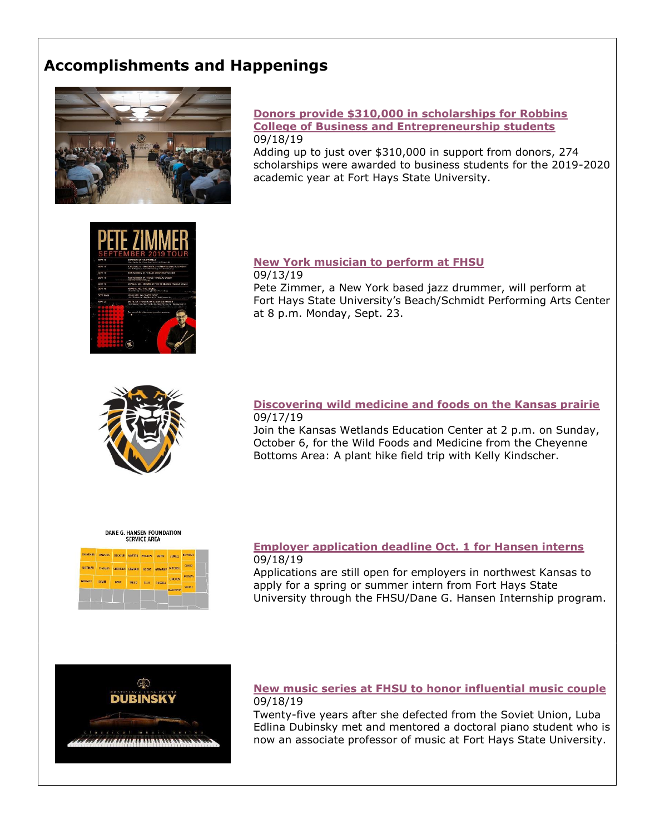# **Accomplishments and Happenings**



#### **[Donors provide \\$310,000 in scholarships for Robbins](https://www.fhsu.edu/news/2019/09/donors-provide-310,000-in-scholarships-for-robbins-college-of-business-and-entrepreneurship-students)  [College of Business and Entrepreneurship students](https://www.fhsu.edu/news/2019/09/donors-provide-310,000-in-scholarships-for-robbins-college-of-business-and-entrepreneurship-students)** 09/18/19

Adding up to just over \$310,000 in support from donors, 274 scholarships were awarded to business students for the 2019-2020 academic year at Fort Hays State University.



**[New York musician to perform at FHSU](https://www.fhsu.edu/news/2019/09/new-york-musician-to-perform-at-fhsu)** 09/13/19 Pete Zimmer, a New York based jazz drummer, will perform at Fort Hays State University's Beach/Schmidt Performing Arts Center at 8 p.m. Monday, Sept. 23.



#### **[Discovering wild medicine and foods on the Kansas prairie](https://www.fhsu.edu/news/2019/09/discovering-wild-medicine-and-foods-on-the-kansas-prairie)** 09/17/19

Join the Kansas Wetlands Education Center at 2 p.m. on Sunday, October 6, for the Wild Foods and Medicine from the Cheyenne Bottoms Area: A plant hike field trip with Kelly Kindscher.

## DANE G. HANSEN FOUNDATION<br>SERVICE AREA

| CHEYENNE              | <b>RAWLINS</b> | DECATUR         | <b>NORTON</b> | <b>PHILLIPS</b> | <b>SMITH</b>   | JEWELL           | инчиние       |
|-----------------------|----------------|-----------------|---------------|-----------------|----------------|------------------|---------------|
| SHERMAN               | <b>THOMAS</b>  | <b>SHERIDAN</b> | GRAHAM        | <b>ROOKS</b>    | OSRORNE        | MITCHELL         | <b>CLOUD</b>  |
| <b><i>WALLACE</i></b> | <b>LOGAN</b>   | GOVE            | <b>TREGO</b>  | <b>FILIS</b>    | <b>RUSSELL</b> | <b>UNCOLN</b>    | <b>OTTAWA</b> |
|                       |                |                 |               |                 |                | <b>ELLSWORTH</b> | SALINE        |

#### **[Employer application deadline Oct. 1 for Hansen interns](https://www.fhsu.edu/news/2019/09/employer-application-deadline-oct.-1-for-hansen-interns)** 09/18/19

Applications are still open for employers in northwest Kansas to apply for a spring or summer intern from Fort Hays State University through the FHSU/Dane G. Hansen Internship program.



#### **[New music series at FHSU to honor influential music couple](https://www.fhsu.edu/news/2019/09/new-music-series-at-fhsu-to-honor-influential-music-couple)** 09/18/19

Twenty-five years after she defected from the Soviet Union, Luba Edlina Dubinsky met and mentored a doctoral piano student who is now an associate professor of music at Fort Hays State University.